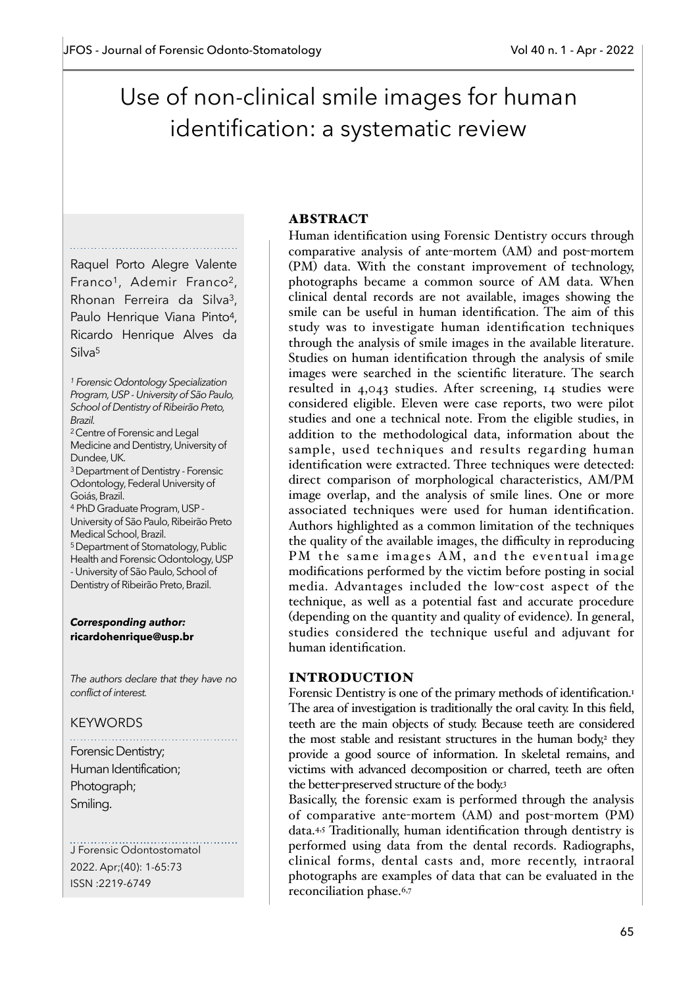# Use of non-clinical smile images for human identification: a systematic review

Raquel Porto Alegre Valente Franco<sup>1</sup>, Ademir Franco<sup>2</sup>, Rhonan Ferreira da Silva3, Paulo Henrique Viana Pinto<sup>4</sup>, Ricardo Henrique Alves da Silva5

*<sup>1</sup> Forensic Odontology Specialization Program, USP - University of São Paulo, School of Dentistry of Ribeirão Preto, Brazil.*  2 Centre of Forensic and Legal Medicine and Dentistry, University of Dundee, UK. 3 Department of Dentistry - Forensic Odontology, Federal University of Goiás, Brazil. 4 PhD Graduate Program, USP - University of São Paulo, Ribeirão Preto Medical School, Brazil. 5 Department of Stomatology, Public Health and Forensic Odontology, USP - University of São Paulo, School of Dentistry of Ribeirão Preto, Brazil.

#### *Corresponding author:* **ricardohenrique@usp.br**

*The authors declare that they have no conflict of interest.*

### KEYWORDS

Forensic Dentistry; Human Identification; Photograph; Smiling.

J Forensic Odontostomatol 2022. Apr;(40): 1-65:73 ISSN :2219-6749

## ABSTRACT

Human identification using Forensic Dentistry occurs through comparative analysis of ante-mortem (AM) and post-mortem (PM) data. With the constant improvement of technology, photographs became a common source of AM data. When clinical dental records are not available, images showing the smile can be useful in human identification. The aim of this study was to investigate human identification techniques through the analysis of smile images in the available literature. Studies on human identification through the analysis of smile images were searched in the scientific literature. The search resulted in 4,043 studies. After screening, 14 studies were considered eligible. Eleven were case reports, two were pilot studies and one a technical note. From the eligible studies, in addition to the methodological data, information about the sample, used techniques and results regarding human identification were extracted. Three techniques were detected: direct comparison of morphological characteristics, AM/PM image overlap, and the analysis of smile lines. One or more associated techniques were used for human identification. Authors highlighted as a common limitation of the techniques the quality of the available images, the difficulty in reproducing PM the same images AM, and the eventual image modifications performed by the victim before posting in social media. Advantages included the low-cost aspect of the technique, as well as a potential fast and accurate procedure (depending on the quantity and quality of evidence). In general, studies considered the technique useful and adjuvant for human identification.

### INTRODUCTION

Forensic Dentistry is one of the primary methods of identification.<sup>1</sup> The area of investigation is traditionally the oral cavity. In this field, teeth are the main objects of study. Because teeth are considered the most stable and resistant structures in the human body,<sup>2</sup> they provide a good source of information. In skeletal remains, and victims with advanced decomposition or charred, teeth are often the better-preserved structure of the body.3

Basically, the forensic exam is performed through the analysis of comparative ante-mortem (AM) and post-mortem (PM) data.4,5 Traditionally, human identification through dentistry is performed using data from the dental records. Radiographs, clinical forms, dental casts and, more recently, intraoral photographs are examples of data that can be evaluated in the reconciliation phase.6,7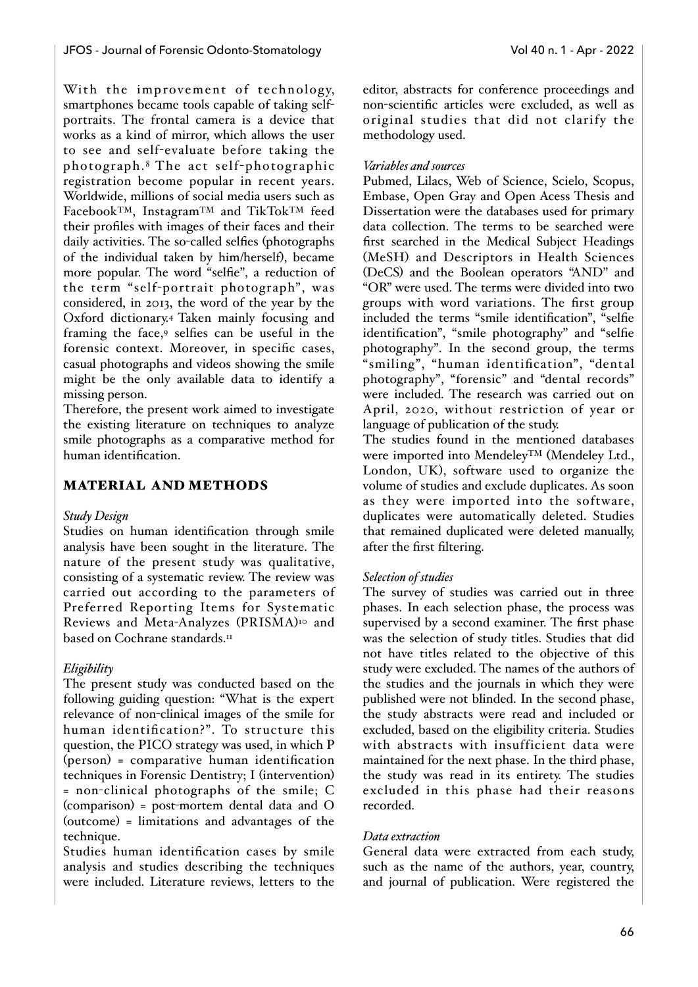With the improvement of technology, smartphones became tools capable of taking selfportraits. The frontal camera is a device that works as a kind of mirror, which allows the user to see and self-evaluate before taking the photograph. 8 The act self-photographic registration become popular in recent years. Worldwide, millions of social media users such as FacebookTM, InstagramTM and TikTokTM feed their profiles with images of their faces and their daily activities. The so-called selfies (photographs of the individual taken by him/herself), became more popular. The word "selfie", a reduction of the term "self-portrait photograph", was considered, in 2013, the word of the year by the Oxford dictionary.4 Taken mainly focusing and framing the face,9 selfies can be useful in the forensic context. Moreover, in specific cases, casual photographs and videos showing the smile might be the only available data to identify a missing person.

Therefore, the present work aimed to investigate the existing literature on techniques to analyze smile photographs as a comparative method for human identification.

# MATERIAL AND METHODS

### *Study Design*

Studies on human identification through smile analysis have been sought in the literature. The nature of the present study was qualitative, consisting of a systematic review. The review was carried out according to the parameters of Preferred Reporting Items for Systematic Reviews and Meta-Analyzes (PRISMA)10 and based on Cochrane standards.<sup>11</sup>

# *Eligibility*

The present study was conducted based on the following guiding question: "What is the expert relevance of non-clinical images of the smile for human identification?". To structure this question, the PICO strategy was used, in which P (person) = comparative human identification techniques in Forensic Dentistry; I (intervention) = non-clinical photographs of the smile; C (comparison) = post-mortem dental data and O (outcome) = limitations and advantages of the technique.

Studies human identification cases by smile analysis and studies describing the techniques were included. Literature reviews, letters to the

editor, abstracts for conference proceedings and non-scientific articles were excluded, as well as original studies that did not clarify the methodology used.

## *Variables and sources*

Pubmed, Lilacs, Web of Science, Scielo, Scopus, Embase, Open Gray and Open Acess Thesis and Dissertation were the databases used for primary data collection. The terms to be searched were first searched in the Medical Subject Headings (MeSH) and Descriptors in Health Sciences (DeCS) and the Boolean operators "AND" and "OR" were used. The terms were divided into two groups with word variations. The first group included the terms "smile identification", "selfie identification", "smile photography" and "selfie photography". In the second group, the terms "smiling", "human identification", "dental photography", "forensic" and "dental records" were included. The research was carried out on April, 2020, without restriction of year or language of publication of the study.

The studies found in the mentioned databases were imported into MendeleyTM (Mendeley Ltd., London, UK), software used to organize the volume of studies and exclude duplicates. As soon as they were imported into the software, duplicates were automatically deleted. Studies that remained duplicated were deleted manually, after the first filtering.

# *Selection of studies*

The survey of studies was carried out in three phases. In each selection phase, the process was supervised by a second examiner. The first phase was the selection of study titles. Studies that did not have titles related to the objective of this study were excluded. The names of the authors of the studies and the journals in which they were published were not blinded. In the second phase, the study abstracts were read and included or excluded, based on the eligibility criteria. Studies with abstracts with insufficient data were maintained for the next phase. In the third phase, the study was read in its entirety. The studies excluded in this phase had their reasons recorded.

### *Data extraction*

General data were extracted from each study, such as the name of the authors, year, country, and journal of publication. Were registered the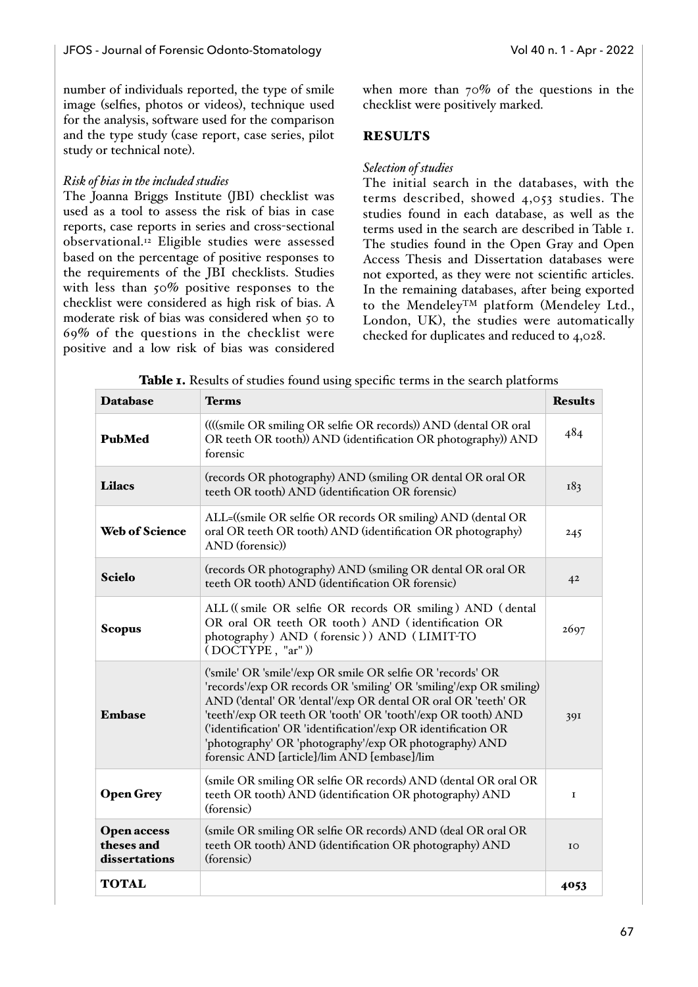number of individuals reported, the type of smile image (selfies, photos or videos), technique used for the analysis, software used for the comparison and the type study (case report, case series, pilot study or technical note).

## *Risk of bias in the included studies*

The Joanna Briggs Institute (JBI) checklist was used as a tool to assess the risk of bias in case reports, case reports in series and cross-sectional observational.12 Eligible studies were assessed based on the percentage of positive responses to the requirements of the JBI checklists. Studies with less than 50% positive responses to the checklist were considered as high risk of bias. A moderate risk of bias was considered when 50 to 69% of the questions in the checklist were positive and a low risk of bias was considered when more than 70% of the questions in the checklist were positively marked.

## **RESULTS**

## *Selection of studies*

The initial search in the databases, with the terms described, showed 4,053 studies. The studies found in each database, as well as the terms used in the search are described in Table 1. The studies found in the Open Gray and Open Access Thesis and Dissertation databases were not exported, as they were not scientific articles. In the remaining databases, after being exported to the MendeleyTM platform (Mendeley Ltd., London, UK), the studies were automatically checked for duplicates and reduced to 4,028.

| <b>Database</b>                                   | <b>Terms</b>                                                                                                                                                                                                                                                                                                                                                                                                                                 | <b>Results</b> |
|---------------------------------------------------|----------------------------------------------------------------------------------------------------------------------------------------------------------------------------------------------------------------------------------------------------------------------------------------------------------------------------------------------------------------------------------------------------------------------------------------------|----------------|
| <b>PubMed</b>                                     | ((((smile OR smiling OR selfie OR records)) AND (dental OR oral<br>OR teeth OR tooth)) AND (identification OR photography)) AND<br>forensic                                                                                                                                                                                                                                                                                                  | 484            |
| <b>Lilacs</b>                                     | (records OR photography) AND (smiling OR dental OR oral OR<br>teeth OR tooth) AND (identification OR forensic)                                                                                                                                                                                                                                                                                                                               | 183            |
| <b>Web of Science</b>                             | ALL=((smile OR selfie OR records OR smiling) AND (dental OR<br>oral OR teeth OR tooth) AND (identification OR photography)<br>AND (forensic))                                                                                                                                                                                                                                                                                                |                |
| <b>Scielo</b>                                     | (records OR photography) AND (smiling OR dental OR oral OR<br>teeth OR tooth) AND (identification OR forensic)                                                                                                                                                                                                                                                                                                                               | 42             |
| <b>Scopus</b>                                     | ALL ((smile OR selfie OR records OR smiling) AND (dental<br>OR oral OR teeth OR tooth) AND (identification OR<br>photography) AND (forensic)) AND (LIMIT-TO<br>(DOCTYPE, "ar"))                                                                                                                                                                                                                                                              | 2697           |
| <b>Embase</b>                                     | ('smile' OR 'smile'/exp OR smile OR selfie OR 'records' OR<br>'records'/exp OR records OR 'smiling' OR 'smiling'/exp OR smiling)<br>AND ('dental' OR 'dental'/exp OR dental OR oral OR 'teeth' OR<br>'teeth'/exp OR teeth OR 'tooth' OR 'tooth'/exp OR tooth) AND<br>('identification' OR 'identification'/exp OR identification OR<br>'photography' OR 'photography'/exp OR photography) AND<br>forensic AND [article]/lim AND [embase]/lim | 391            |
| <b>Open Grey</b>                                  | (smile OR smiling OR selfie OR records) AND (dental OR oral OR<br>teeth OR tooth) AND (identification OR photography) AND<br>(forensic)                                                                                                                                                                                                                                                                                                      | I              |
| <b>Open access</b><br>theses and<br>dissertations | (smile OR smiling OR selfie OR records) AND (deal OR oral OR<br>teeth OR tooth) AND (identification OR photography) AND<br>(forensic)                                                                                                                                                                                                                                                                                                        | IO             |
| <b>TOTAL</b>                                      |                                                                                                                                                                                                                                                                                                                                                                                                                                              | 4053           |

Table 1. Results of studies found using specific terms in the search platforms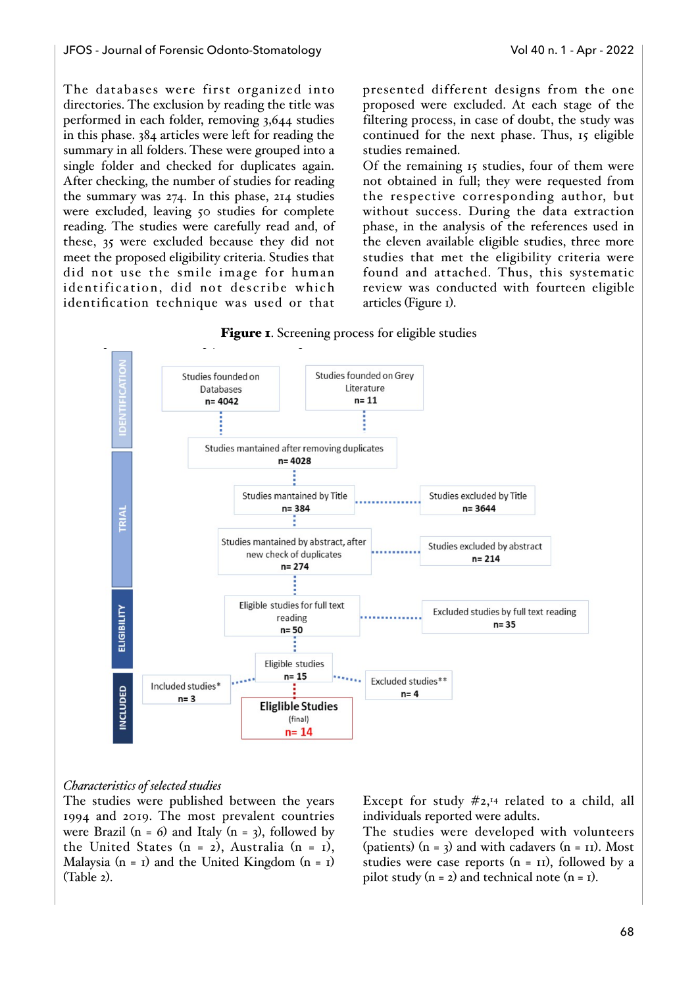The databases were first organized into directories. The exclusion by reading the title was performed in each folder, removing 3,644 studies in this phase. 384 articles were left for reading the summary in all folders. These were grouped into a single folder and checked for duplicates again. After checking, the number of studies for reading the summary was 274. In this phase, 214 studies were excluded, leaving 50 studies for complete reading. The studies were carefully read and, of these, 35 were excluded because they did not meet the proposed eligibility criteria. Studies that did not use the smile image for human identification, did not describe which identification technique was used or that presented different designs from the one proposed were excluded. At each stage of the filtering process, in case of doubt, the study was continued for the next phase. Thus, 15 eligible studies remained.

Of the remaining 15 studies, four of them were not obtained in full; they were requested from the respective corresponding author, but without success. During the data extraction phase, in the analysis of the references used in the eleven available eligible studies, three more studies that met the eligibility criteria were found and attached. Thus, this systematic review was conducted with fourteen eligible articles (Figure 1).



#### Figure 1. Screening process for eligible studies

## *Characteristics of selected studies*

The studies were published between the years 1994 and 2019. The most prevalent countries were Brazil (n = 6) and Italy (n = 3), followed by the United States  $(n = 2)$ , Australia  $(n = 1)$ , Malaysia  $(n = 1)$  and the United Kingdom  $(n = 1)$ (Table 2).

Except for study  $#2,44$  related to a child, all individuals reported were adults.

The studies were developed with volunteers (patients)  $(n = 3)$  and with cadavers  $(n = 11)$ . Most studies were case reports  $(n = \text{II})$ , followed by a pilot study  $(n = 2)$  and technical note  $(n = 1)$ .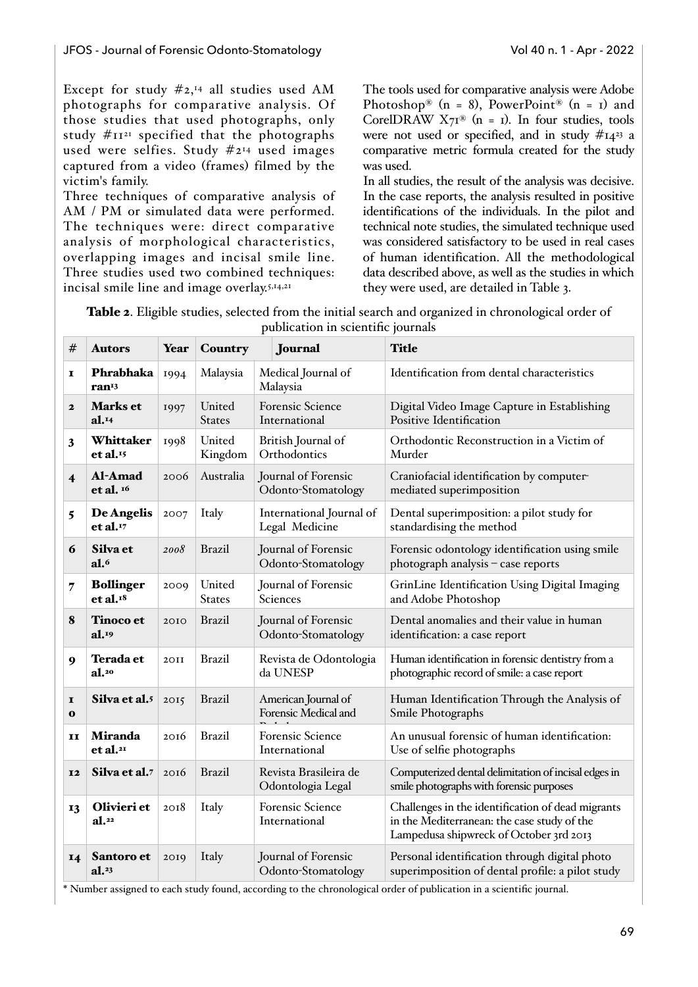Except for study  $\#2,44$  all studies used AM photographs for comparative analysis. Of those studies that used photographs, only study  $\#II^{21}$  specified that the photographs used were selfies. Study #214 used images captured from a video (frames) filmed by the victim's family.

Three techniques of comparative analysis of AM / PM or simulated data were performed. The techniques were: direct comparative analysis of morphological characteristics, overlapping images and incisal smile line. Three studies used two combined techniques: incisal smile line and image overlay.<sup>5,14,21</sup>

The tools used for comparative analysis were Adobe Photoshop® (n = 8), PowerPoint® (n = 1) and CorelDRAW  $X7^{8}$  (n = 1). In four studies, tools were not used or specified, and in study  $#14^{23}$  a comparative metric formula created for the study was used.

In all studies, the result of the analysis was decisive. In the case reports, the analysis resulted in positive identifications of the individuals. In the pilot and technical note studies, the simulated technique used was considered satisfactory to be used in real cases of human identification. All the methodological data described above, as well as the studies in which they were used, are detailed in Table 3.

| Table 2. Eligible studies, selected from the initial search and organized in chronological order of |                                    |  |  |
|-----------------------------------------------------------------------------------------------------|------------------------------------|--|--|
|                                                                                                     | publication in scientific journals |  |  |

| #                        | <b>Autors</b>                            | Year | Country                 | Journal                                                                                                           | <b>Title</b>                                                                                                                                |  |  |
|--------------------------|------------------------------------------|------|-------------------------|-------------------------------------------------------------------------------------------------------------------|---------------------------------------------------------------------------------------------------------------------------------------------|--|--|
| I                        | Phrabhaka<br>ran <sup>13</sup>           | 1994 | Malaysia                | Medical Journal of<br>Malaysia                                                                                    | Identification from dental characteristics                                                                                                  |  |  |
| $\mathbf{2}$             | Marks et<br>al. <sup>14</sup>            | 1997 | United<br><b>States</b> | <b>Forensic Science</b><br>International                                                                          | Digital Video Image Capture in Establishing<br>Positive Identification                                                                      |  |  |
| 3                        | Whittaker<br>et al. <sup>15</sup>        | 1998 | United<br>Kingdom       | British Journal of<br>Orthodontics                                                                                | Orthodontic Reconstruction in a Victim of<br>Murder                                                                                         |  |  |
| $\overline{\mathbf{4}}$  | Al-Amad<br>et al. $16$                   | 2006 | Australia               | Journal of Forensic<br>Craniofacial identification by computer-<br>Odonto-Stomatology<br>mediated superimposition |                                                                                                                                             |  |  |
| 5                        | De Angelis<br>et al.                     | 2007 | Italy                   | International Journal of<br>Legal Medicine                                                                        | Dental superimposition: a pilot study for<br>standardising the method                                                                       |  |  |
| 6                        | Silva et<br>a1.6                         | 2008 | <b>Brazil</b>           | Journal of Forensic<br>Odonto-Stomatology                                                                         | Forensic odontology identification using smile<br>photograph analysis - case reports                                                        |  |  |
| 7                        | <b>Bollinger</b><br>et al. <sup>18</sup> | 2009 | United<br><b>States</b> | Journal of Forensic<br>Sciences                                                                                   | GrinLine Identification Using Digital Imaging<br>and Adobe Photoshop                                                                        |  |  |
| 8                        | <b>Tinoco et</b><br>al. <sup>19</sup>    | 2010 | <b>Brazil</b>           | Journal of Forensic<br>Odonto-Stomatology                                                                         | Dental anomalies and their value in human<br>identification: a case report                                                                  |  |  |
| 9                        | <b>Terada</b> et<br>a1.20                | 2OII | <b>Brazil</b>           | Revista de Odontologia<br>da UNESP                                                                                | Human identification in forensic dentistry from a<br>photographic record of smile: a case report                                            |  |  |
| $\mathbf{I}$<br>$\bf{o}$ | Silva et al.5                            | 2015 | <b>Brazil</b>           | American Journal of<br>Forensic Medical and                                                                       | Human Identification Through the Analysis of<br>Smile Photographs                                                                           |  |  |
| II                       | <b>Miranda</b><br>et al. <sup>21</sup>   | 2016 | <b>Brazil</b>           | <b>Forensic Science</b><br>International                                                                          | An unusual forensic of human identification:<br>Use of selfie photographs                                                                   |  |  |
| <b>I2</b>                | Silva et al.7                            | 2016 | <b>Brazil</b>           | Revista Brasileira de<br>Odontologia Legal                                                                        | Computerized dental delimitation of incisal edges in<br>smile photographs with forensic purposes                                            |  |  |
| 13                       | Olivieri et<br>al. <sup>22</sup>         | 2018 | Italy                   | <b>Forensic Science</b><br>International                                                                          | Challenges in the identification of dead migrants<br>in the Mediterranean: the case study of the<br>Lampedusa shipwreck of October 3rd 2013 |  |  |
| 14                       | Santoro et<br>al. <sup>23</sup>          | 2019 | Italy                   | Journal of Forensic<br>Odonto-Stomatology                                                                         | Personal identification through digital photo<br>superimposition of dental profile: a pilot study                                           |  |  |

\* Number assigned to each study found, according to the chronological order of publication in a scientific journal.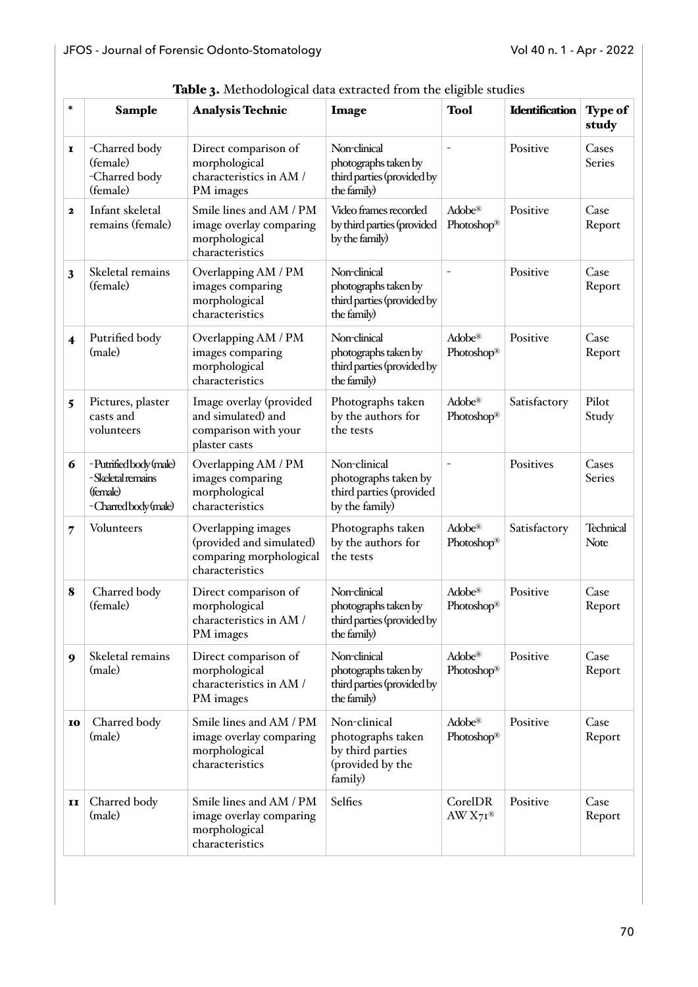| $\ast$ | <b>Sample</b>                                                                | <b>radic 3.</b> Includudgical data extracted from the engine studies<br><b>Analysis Technic</b> | Image                                                                                | <b>Tool</b>                              | <b>Identification</b> | <b>Type of</b><br>study |
|--------|------------------------------------------------------------------------------|-------------------------------------------------------------------------------------------------|--------------------------------------------------------------------------------------|------------------------------------------|-----------------------|-------------------------|
| I      | -Charred body<br>(female)<br>-Charred body<br>(female)                       | Direct comparison of<br>morphological<br>characteristics in AM /<br>PM images                   | Non-clinical<br>photographs taken by<br>third parties (provided by<br>the family)    |                                          | Positive              | Cases<br>Series         |
| 2      | Infant skeletal<br>remains (female)                                          | Smile lines and AM / PM<br>image overlay comparing<br>morphological<br>characteristics          | Video frames recorded<br>by third parties (provided<br>by the family)                | Adobe <sup>®</sup><br>Photoshop®         | Positive              | Case<br>Report          |
| 3      | Skeletal remains<br>(female)                                                 | Overlapping AM / PM<br>images comparing<br>morphological<br>characteristics                     | Non-clinical<br>photographs taken by<br>third parties (provided by<br>the family)    |                                          | Positive              | Case<br>Report          |
| 4      | Putrified body<br>(male)                                                     | Overlapping AM / PM<br>images comparing<br>morphological<br>characteristics                     | Non-clinical<br>photographs taken by<br>third parties (provided by<br>the family)    | Adobe <sup>®</sup><br>Photoshop®         | Positive              | Case<br>Report          |
| 5      | Pictures, plaster<br>casts and<br>volunteers                                 | Image overlay (provided<br>and simulated) and<br>comparison with your<br>plaster casts          | Photographs taken<br>by the authors for<br>the tests                                 | Adobe <sup>®</sup><br>Photoshop®         | Satisfactory          | Pilot<br>Study          |
| 6      | -Putrifiedbody (male)<br>-Skeletal remains<br>(female)<br>-Charredbody(male) | Overlapping AM / PM<br>images comparing<br>morphological<br>characteristics                     | Non-clinical<br>photographs taken by<br>third parties (provided<br>by the family)    |                                          | Positives             | Cases<br>Series         |
| 7      | Volunteers                                                                   | Overlapping images<br>(provided and simulated)<br>comparing morphological<br>characteristics    | Photographs taken<br>by the authors for<br>the tests                                 | Adobe <sup>®</sup><br>Photoshop®         | Satisfactory          | Technical<br>Note       |
| 8      | Charred body<br>(female)                                                     | Direct comparison of<br>morphological<br>characteristics in AM /<br>PM images                   | Non-clinical<br>photographs taken by<br>third parties (provided by<br>the family)    | Adobe®<br>Photoshop®                     | Positive              | Case<br>Report          |
| 9      | Skeletal remains<br>(male)                                                   | Direct comparison of<br>morphological<br>characteristics in AM /<br>PM images                   | Non-clinical<br>photographs taken by<br>third parties (provided by<br>the family)    | Adobe <sup>®</sup><br>Photoshop®         | Positive              | Case<br>Report          |
| 10     | Charred body<br>(male)                                                       | Smile lines and AM / PM<br>image overlay comparing<br>morphological<br>characteristics          | Non-clinical<br>photographs taken<br>by third parties<br>(provided by the<br>family) | $\text{Adobe}^{\circledR}$<br>Photoshop® | Positive              | Case<br>Report          |
| 11     | Charred body<br>(male)                                                       | Smile lines and AM / PM<br>image overlay comparing<br>morphological<br>characteristics          | Selfies                                                                              | CorelDR<br>$AWX7I^®$                     | Positive              | Case<br>Report          |

Table 3. Methodological data extracted from the eligible studies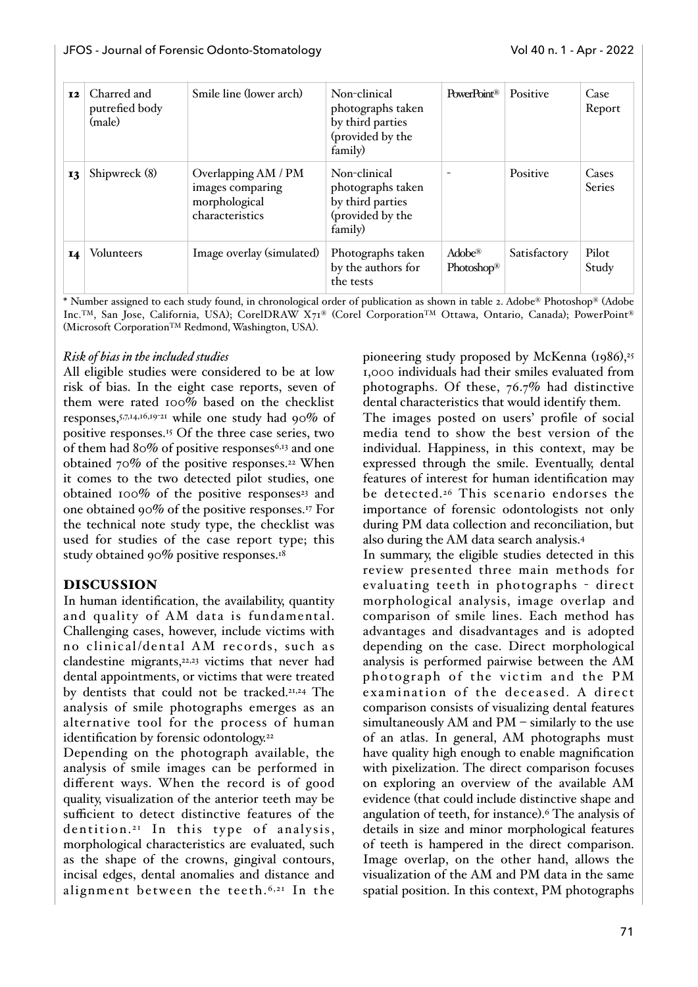| <b>12</b> | Charred and<br>putrefied body<br>(male) | Smile line (lower arch)                                                     | Non-clinical<br>photographs taken<br>by third parties<br>(provided by the<br>family) | PowerPoint <sup>®</sup>           | Positive     | Case<br>Report  |
|-----------|-----------------------------------------|-----------------------------------------------------------------------------|--------------------------------------------------------------------------------------|-----------------------------------|--------------|-----------------|
| 13        | Shipwreck (8)                           | Overlapping AM / PM<br>images comparing<br>morphological<br>characteristics | Non-clinical<br>photographs taken<br>by third parties<br>(provided by the<br>family) |                                   | Positive     | Cases<br>Series |
| 14        | <b>Volunteers</b>                       | Image overlay (simulated)                                                   | Photographs taken<br>by the authors for<br>the tests                                 | $Adobe^{\circledR}$<br>Photoshop® | Satisfactory | Pilot<br>Study  |

\* Number assigned to each study found, in chronological order of publication as shown in table 2. Adobe® Photoshop® (Adobe Inc.TM, San Jose, California, USA); CorelDRAW X71® (Corel CorporationTM Ottawa, Ontario, Canada); PowerPoint® (Microsoft CorporationTM Redmond, Washington, USA).

### *Risk of bias in the included studies*

All eligible studies were considered to be at low risk of bias. In the eight case reports, seven of them were rated 100% based on the checklist responses,5,7,14,16,19-21 while one study had 90% of positive responses.15 Of the three case series, two of them had 80% of positive responses6,13 and one obtained 70% of the positive responses.22 When it comes to the two detected pilot studies, one obtained  $100\%$  of the positive responses<sup>23</sup> and one obtained 90% of the positive responses.17 For the technical note study type, the checklist was used for studies of the case report type; this study obtained 90% positive responses.18

### DISCUSSION

In human identification, the availability, quantity and quality of AM data is fundamental. Challenging cases, however, include victims with no clinical/dental AM records, such as clandestine migrants,22,23 victims that never had dental appointments, or victims that were treated by dentists that could not be tracked.21,24 The analysis of smile photographs emerges as an alternative tool for the process of human identification by forensic odontology.<sup>22</sup>

Depending on the photograph available, the analysis of smile images can be performed in different ways. When the record is of good quality, visualization of the anterior teeth may be sufficient to detect distinctive features of the dentition.<sup>21</sup> In this type of analysis, morphological characteristics are evaluated, such as the shape of the crowns, gingival contours, incisal edges, dental anomalies and distance and alignment between the teeth. 6,21 In the

pioneering study proposed by McKenna (1986),<sup>25</sup> 1,000 individuals had their smiles evaluated from photographs. Of these, 76.7% had distinctive dental characteristics that would identify them.

The images posted on users' profile of social media tend to show the best version of the individual. Happiness, in this context, may be expressed through the smile. Eventually, dental features of interest for human identification may be detected.26 This scenario endorses the importance of forensic odontologists not only during PM data collection and reconciliation, but also during the AM data search analysis.4

In summary, the eligible studies detected in this review presented three main methods for evaluating teeth in photographs - direct morphological analysis, image overlap and comparison of smile lines. Each method has advantages and disadvantages and is adopted depending on the case. Direct morphological analysis is performed pairwise between the AM photograph of the victim and the PM examination of the decea sed. A direct comparison consists of visualizing dental features simultaneously AM and PM – similarly to the use of an atlas. In general, AM photographs must have quality high enough to enable magnification with pixelization. The direct comparison focuses on exploring an overview of the available AM evidence (that could include distinctive shape and angulation of teeth, for instance).6 The analysis of details in size and minor morphological features of teeth is hampered in the direct comparison. Image overlap, on the other hand, allows the visualization of the AM and PM data in the same spatial position. In this context, PM photographs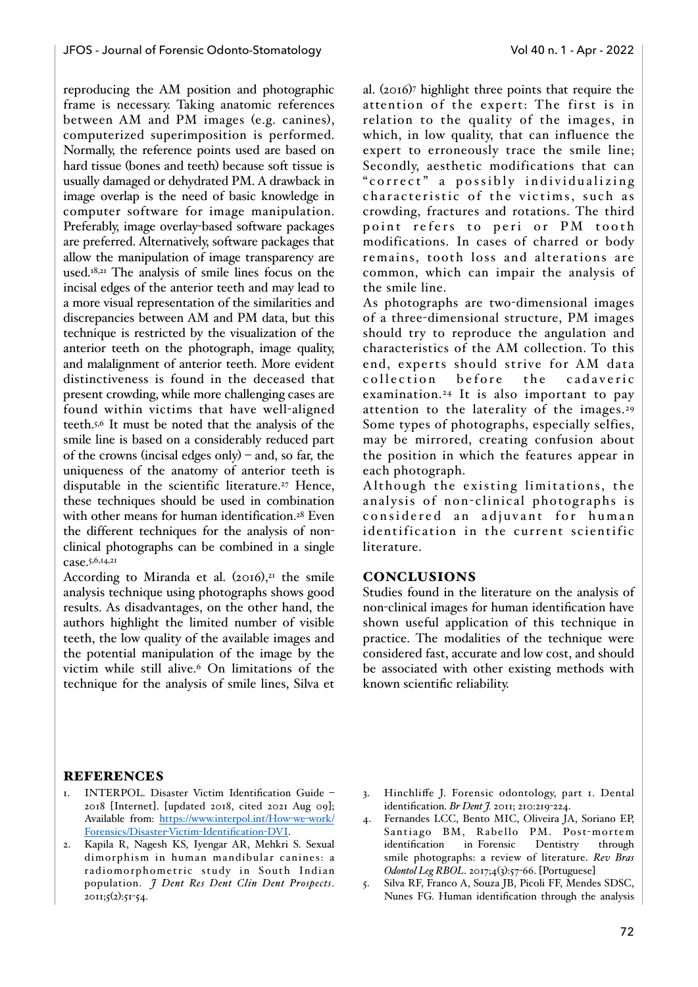reproducing the AM position and photographic frame is necessary. Taking anatomic references between AM and PM images (e.g. canines), computerized superimposition is performed. Normally, the reference points used are based on hard tissue (bones and teeth) because soft tissue is usually damaged or dehydrated PM. A drawback in image overlap is the need of basic knowledge in computer software for image manipulation. Preferably, image overlay-based software packages are preferred. Alternatively, software packages that allow the manipulation of image transparency are used.18,21 The analysis of smile lines focus on the incisal edges of the anterior teeth and may lead to a more visual representation of the similarities and discrepancies between AM and PM data, but this technique is restricted by the visualization of the anterior teeth on the photograph, image quality, and malalignment of anterior teeth. More evident distinctiveness is found in the deceased that present crowding, while more challenging cases are found within victims that have well-aligned teeth.5,6 It must be noted that the analysis of the smile line is based on a considerably reduced part of the crowns (incisal edges only) – and, so far, the uniqueness of the anatomy of anterior teeth is disputable in the scientific literature.<sup>27</sup> Hence, these techniques should be used in combination with other means for human identification.<sup>28</sup> Even the different techniques for the analysis of nonclinical photographs can be combined in a single case.5,6,14,21

According to Miranda et al.  $(2016)$ ,<sup>21</sup> the smile analysis technique using photographs shows good results. As disadvantages, on the other hand, the authors highlight the limited number of visible teeth, the low quality of the available images and the potential manipulation of the image by the victim while still alive.6 On limitations of the technique for the analysis of smile lines, Silva et al. (2016)7 highlight three points that require the attention of the expert: The first is in relation to the quality of the images, in which, in low quality, that can influence the expert to erroneously trace the smile line; Secondly, aesthetic modifications that can "correct" a possibly individualizing characteristic of the victims, such as crowding, fractures and rotations. The third point refers to peri or PM tooth modifications. In cases of charred or body remains, tooth loss and alterations are common, which can impair the analysis of the smile line.

As photographs are two-dimensional images of a three-dimensional structure, PM images should try to reproduce the angulation and characteristics of the AM collection. To this end, experts should strive for AM data collection before the cadaveric examination.24 It is also important to pay attention to the laterality of the images.29 Some types of photographs, especially selfies, may be mirrored, creating confusion about the position in which the features appear in each photograph.

Although the existing limitations, the analysis of non-clinical photographs is considered an adjuvant for human identification in the current scientific literature.

### **CONCLUSIONS**

Studies found in the literature on the analysis of non-clinical images for human identification have shown useful application of this technique in practice. The modalities of the technique were considered fast, accurate and low cost, and should be associated with other existing methods with known scientific reliability.

#### REFERENCES

- 1. INTERPOL. Disaster Victim Identification Guide 2018 [Internet]. [updated 2018, cited 2021 Aug 09]; [Available from: https://www.interpol.int/How](https://www.interpol.int/How-we-work/Forensics/Disaster-Victim-Identification-DVI)-we-work/ [Forensics/Disaster](https://www.interpol.int/How-we-work/Forensics/Disaster-Victim-Identification-DVI)-Victim-Identification-DVI.
- 2. Kapila R, Nagesh KS, Iyengar AR, Mehkri S. Sexual dimorphism in human mandibular canines: a radiomorphometric study in South Indian population. *J Dent Res Dent Clin Dent Prospects*.  $20II;5(2):5I-54.$
- 3. Hinchliffe J. Forensic odontology, part 1. Dental identification. *Br Dent J.* 2011; 210:219-224.
- 4. Fernandes LCC, Bento MIC, Oliveira JA, Soriano EP, Santiago BM, Rabello PM. Post-mortem identification in Forensic Dentistry through smile photographs: a review of literature. *Rev Bras Odontol Leg RBOL*. 2017;4(3):57-66. [Portuguese]
- 5. Silva RF, Franco A, Souza JB, Picoli FF, Mendes SDSC, Nunes FG. Human identification through the analysis